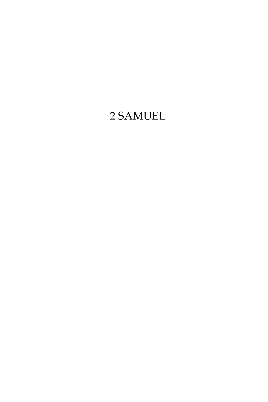# 2 Samuel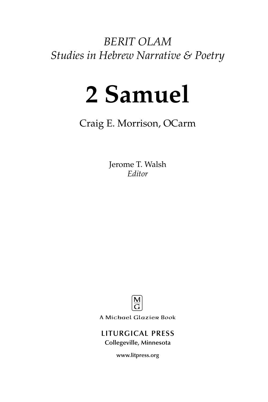*BERIT OLAM Studies in Hebrew Narrative & Poetry*

# **2 Samuel**

Craig E. Morrison, OCarm

Jerome T. Walsh *Editor*



A Michael Glazier Book

# **LITURGICAL PRESS Collegeville, Minnesota**

**www.litpress.org**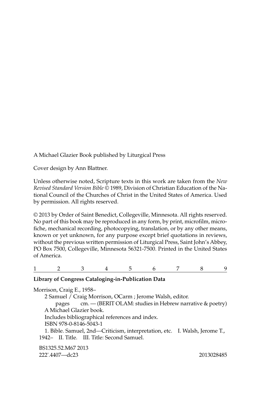A Michael Glazier Book published by Liturgical Press

Cover design by Ann Blattner.

Unless otherwise noted, Scripture texts in this work are taken from the *New Revised Standard Version Bible* © 1989, Division of Christian Education of the National Council of the Churches of Christ in the United States of America. Used by permission. All rights reserved.

© 2013 by Order of Saint Benedict, Collegeville, Minnesota. All rights reserved. No part of this book may be reproduced in any form, by print, microfilm, microfiche, mechanical recording, photocopying, translation, or by any other means, known or yet unknown, for any purpose except brief quotations in reviews, without the previous written permission of Liturgical Press, Saint John's Abbey, PO Box 7500, Collegeville, Minnesota 56321-7500. Printed in the United States of America.

1 2 3 4 5 6 7 8 9

# **Library of Congress Cataloging-in-Publication Data**

Morrison, Craig E., 1958– 2 Samuel / Craig Morrison, OCarm ; Jerome Walsh, editor. pages cm. — (BERIT OLAM: studies in Hebrew narrative & poetry) A Michael Glazier book. Includes bibliographical references and index. ISBN 978-0-8146-5043-1 1. Bible. Samuel, 2nd—Criticism, interpretation, etc. I. Walsh, Jerome T., 1942– II. Title. III. Title: Second Samuel. BS1325.52.M67 2013 222'.4407—dc23 2013028485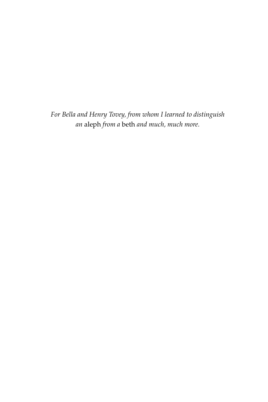*For Bella and Henry Tovey, from whom I learned to distinguish an* aleph *from a* beth *and much, much more.*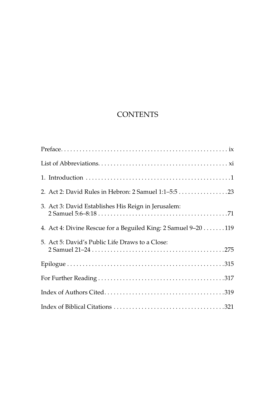# **CONTENTS**

| 2. Act 2: David Rules in Hebron: 2 Samuel 1:1-5:5 23           |
|----------------------------------------------------------------|
| 3. Act 3: David Establishes His Reign in Jerusalem:            |
| 4. Act 4: Divine Rescue for a Beguiled King: 2 Samuel 9-20 119 |
| 5. Act 5: David's Public Life Draws to a Close:                |
|                                                                |
|                                                                |
|                                                                |
|                                                                |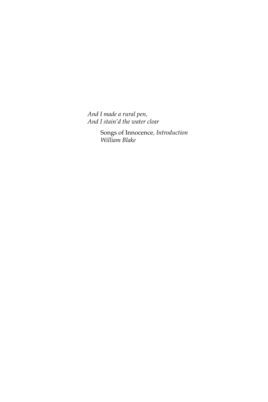*And I made a rural pen, And I stain'd the water clear*

> Songs of Innocence*, Introduction William Blake*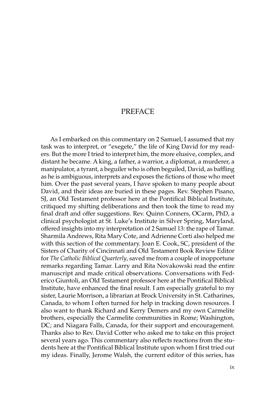# **PREFACE**

As I embarked on this commentary on 2 Samuel, I assumed that my task was to interpret, or "exegete," the life of King David for my readers. But the more I tried to interpret him, the more elusive, complex, and distant he became. A king, a father, a warrior, a diplomat, a murderer, a manipulator, a tyrant, a beguiler who is often beguiled, David, as baffling as he is ambiguous, interprets and exposes the fictions of those who meet him. Over the past several years, I have spoken to many people about David, and their ideas are buried in these pages. Rev. Stephen Pisano, SJ, an Old Testament professor here at the Pontifical Biblical Institute, critiqued my shifting deliberations and then took the time to read my final draft and offer suggestions. Rev. Quinn Conners, OCarm, PhD, a clinical psychologist at St. Luke's Institute in Silver Spring, Maryland, offered insights into my interpretation of 2 Samuel 13: the rape of Tamar. Sharmila Andrews, Rita Mary Cote, and Adrienne Corti also helped me with this section of the commentary. Joan E. Cook, SC, president of the Sisters of Charity of Cincinnati and Old Testament Book Review Editor for *The Catholic Biblical Quarterly*, saved me from a couple of inopportune remarks regarding Tamar. Larry and Rita Novakowski read the entire manuscript and made critical observations. Conversations with Federico Giuntoli, an Old Testament professor here at the Pontifical Biblical Institute, have enhanced the final result. I am especially grateful to my sister, Laurie Morrison, a librarian at Brock University in St. Catharines, Canada, to whom I often turned for help in tracking down resources. I also want to thank Richard and Kerry Demers and my own Carmelite brothers, especially the Carmelite communities in Rome; Washington, DC; and Niagara Falls, Canada, for their support and encouragement. Thanks also to Rev. David Cotter who asked me to take on this project several years ago. This commentary also reflects reactions from the students here at the Pontifical Biblical Institute upon whom I first tried out my ideas. Finally, Jerome Walsh, the current editor of this series, has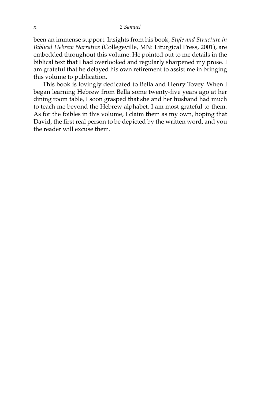been an immense support. Insights from his book, *Style and Structure in Biblical Hebrew Narrative* (Collegeville, MN: Liturgical Press, 2001), are embedded throughout this volume. He pointed out to me details in the biblical text that I had overlooked and regularly sharpened my prose. I am grateful that he delayed his own retirement to assist me in bringing this volume to publication.

This book is lovingly dedicated to Bella and Henry Tovey. When I began learning Hebrew from Bella some twenty-five years ago at her dining room table, I soon grasped that she and her husband had much to teach me beyond the Hebrew alphabet. I am most grateful to them. As for the foibles in this volume, I claim them as my own, hoping that David, the first real person to be depicted by the written word, and you the reader will excuse them.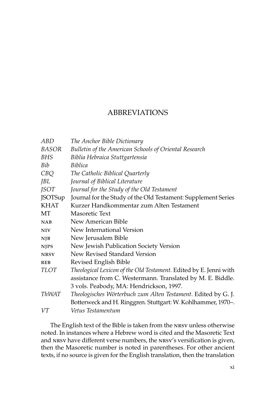# **ABBREVIATIONS**

| ABD            | The Anchor Bible Dictionary                                       |
|----------------|-------------------------------------------------------------------|
| BASOR          | Bulletin of the American Schools of Oriental Research             |
| BHS            | Biblia Hebraica Stuttgartensia                                    |
| Bib            | <i>Biblica</i>                                                    |
| CBQ            | The Catholic Biblical Quarterly                                   |
| JBL            | Journal of Biblical Literature                                    |
| <i>JSOT</i>    | Journal for the Study of the Old Testament                        |
| <b>JSOTSup</b> | Journal for the Study of the Old Testament: Supplement Series     |
| <b>KHAT</b>    | Kurzer Handkommentar zum Alten Testament                          |
| МT             | Masoretic Text                                                    |
| NAB            | New American Bible                                                |
| <b>NIV</b>     | New International Version                                         |
| NJB            | New Jerusalem Bible                                               |
| <b>NJPS</b>    | New Jewish Publication Society Version                            |
| <b>NRSV</b>    | New Revised Standard Version                                      |
| <b>REB</b>     | Revised English Bible                                             |
| <b>TLOT</b>    | Theological Lexicon of the Old Testament. Edited by E. Jenni with |
|                | assistance from C. Westermann. Translated by M. E. Biddle.        |
|                | 3 vols. Peabody, MA: Hendrickson, 1997.                           |
| ThWAT          | Theologisches Wörterbuch zum Alten Testament. Edited by G. J.     |
|                | Botterweck and H. Ringgren. Stuttgart: W. Kohlhammer, 1970-.      |
| VT             | Vetus Testamentum                                                 |
|                |                                                                   |

The English text of the Bible is taken from the nrsv unless otherwise noted. In instances where a Hebrew word is cited and the Masoretic Text and nrsv have different verse numbers, the nrsv's versification is given, then the Masoretic number is noted in parentheses. For other ancient texts, if no source is given for the English translation, then the translation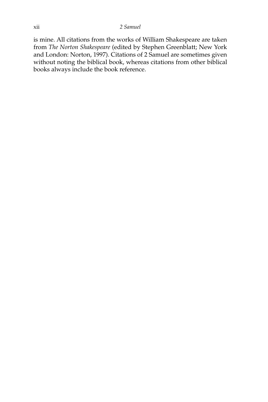is mine. All citations from the works of William Shakespeare are taken from *The Norton Shakespeare* (edited by Stephen Greenblatt; New York and London: Norton, 1997). Citations of 2 Samuel are sometimes given without noting the biblical book, whereas citations from other biblical books always include the book reference.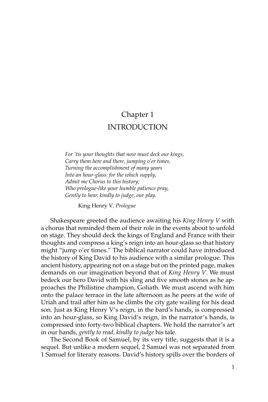# Chapter 1 INTRODUCTION

*For 'tis your thoughts that now must deck our kings, Carry them here and there, jumping o'er times, Turning the accomplishment of many years Into an hour-glass: for the which supply, Admit me Chorus to this history; Who prologue-like your humble patience pray, Gently to hear, kindly to judge, our play.*

King Henry V*, Prologue*

Shakespeare greeted the audience awaiting his *King Henry V* with a chorus that reminded them of their role in the events about to unfold on stage. They should deck the kings of England and France with their thoughts and compress a king's reign into an hour-glass so that history might "jump o'er times." The biblical narrator could have introduced the history of King David to his audience with a similar prologue. This ancient history, appearing not on a stage but on the printed page, makes demands on our imagination beyond that of *King Henry V*. We must bedeck our hero David with his sling and five smooth stones as he approaches the Philistine champion, Goliath. We must ascend with him onto the palace terrace in the late afternoon as he peers at the wife of Uriah and trail after him as he climbs the city gate wailing for his dead son. Just as King Henry V's reign, in the bard's hands, is compressed into an hour-glass, so King David's reign, in the narrator's hands, is compressed into forty-two biblical chapters. We hold the narrator's art in our hands, *gently to read, kindly to judge* his tale.

The Second Book of Samuel, by its very title, suggests that it is a sequel. But unlike a modern sequel, 2 Samuel was not separated from 1 Samuel for literary reasons. David's history spills over the borders of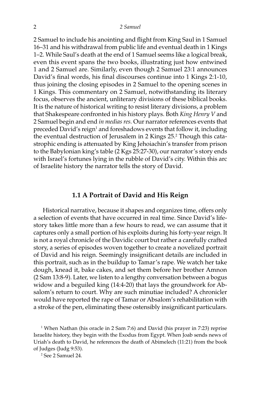2 Samuel to include his anointing and flight from King Saul in 1 Samuel 16–31 and his withdrawal from public life and eventual death in 1 Kings 1–2. While Saul's death at the end of 1 Samuel seems like a logical break, even this event spans the two books, illustrating just how entwined 1 and 2 Samuel are. Similarly, even though 2 Samuel 23:1 announces David's final words, his final discourses continue into 1 Kings 2:1-10, thus joining the closing episodes in 2 Samuel to the opening scenes in 1 Kings. This commentary on 2 Samuel, notwithstanding its literary focus, observes the ancient, unliterary divisions of these biblical books. It is the nature of historical writing to resist literary divisions, a problem that Shakespeare confronted in his history plays. Both *King Henry V* and 2 Samuel begin and end *in medias res.* Our narrator references events that preceded David's reign<sup>1</sup> and foreshadows events that follow it, including the eventual destruction of Jerusalem in 2 Kings 25.2 Though this catastrophic ending is attenuated by King Jehoiachin's transfer from prison to the Babylonian king's table (2 Kgs 25:27-30), our narrator's story ends with Israel's fortunes lying in the rubble of David's city. Within this arc of Israelite history the narrator tells the story of David.

# **1.1 A Portrait of David and His Reign**

Historical narrative, because it shapes and organizes time, offers only a selection of events that have occurred in real time. Since David's lifestory takes little more than a few hours to read, we can assume that it captures only a small portion of his exploits during his forty-year reign. It is not a royal chronicle of the Davidic court but rather a carefully crafted story, a series of episodes woven together to create a novelized portrait of David and his reign. Seemingly insignificant details are included in this portrait, such as in the buildup to Tamar's rape. We watch her take dough, knead it, bake cakes, and set them before her brother Amnon (2 Sam 13:8-9). Later, we listen to a lengthy conversation between a bogus widow and a beguiled king (14:4-20) that lays the groundwork for Absalom's return to court. Why are such minutiae included? A chronicler would have reported the rape of Tamar or Absalom's rehabilitation with a stroke of the pen, eliminating these ostensibly insignificant particulars.

<sup>1</sup> When Nathan (his oracle in 2 Sam 7:6) and David (his prayer in 7:23) reprise Israelite history, they begin with the Exodus from Egypt. When Joab sends news of Uriah's death to David, he references the death of Abimelech (11:21) from the book of Judges (Judg 9:53).

2 See 2 Samuel 24.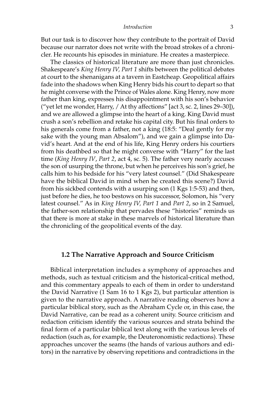#### *Introduction* 3

But our task is to discover how they contribute to the portrait of David because our narrator does not write with the broad strokes of a chronicler. He recounts his episodes in miniature. He creates a masterpiece.

The classics of historical literature are more than just chronicles. Shakespeare's *King Henry IV, Part 1* shifts between the political debates at court to the shenanigans at a tavern in Eastcheap. Geopolitical affairs fade into the shadows when King Henry bids his court to depart so that he might converse with the Prince of Wales alone. King Henry, now more father than king, expresses his disappointment with his son's behavior ("yet let me wonder, Harry, / At thy affections" [act 3, sc. 2, lines 29–30]), and we are allowed a glimpse into the heart of a king. King David must crush a son's rebellion and retake his capital city. But his final orders to his generals come from a father, not a king (18:5: "Deal gently for my sake with the young man Absalom"), and we gain a glimpse into David's heart. And at the end of his life, King Henry orders his courtiers from his deathbed so that he might converse with "Harry" for the last time (*King Henry IV*, *Part 2*, act 4, sc. 5). The father very nearly accuses the son of usurping the throne, but when he perceives his son's grief, he calls him to his bedside for his "very latest counsel." (Did Shakespeare have the biblical David in mind when he created this scene?) David from his sickbed contends with a usurping son (1 Kgs 1:5-53) and then, just before he dies, he too bestows on his successor, Solomon, his "very latest counsel." As in *King Henry IV, Part 1* and *Part 2*, so in 2 Samuel, the father-son relationship that pervades these "histories" reminds us that there is more at stake in these marvels of historical literature than the chronicling of the geopolitical events of the day.

# **1.2 The Narrative Approach and Source Criticism**

Biblical interpretation includes a symphony of approaches and methods, such as textual criticism and the historical-critical method, and this commentary appeals to each of them in order to understand the David Narrative (1 Sam 16 to 1 Kgs 2), but particular attention is given to the narrative approach. A narrative reading observes how a particular biblical story, such as the Abraham Cycle or, in this case, the David Narrative, can be read as a coherent unity. Source criticism and redaction criticism identify the various sources and strata behind the final form of a particular biblical text along with the various levels of redaction (such as, for example, the Deuteronomistic redactions). These approaches uncover the seams (the hands of various authors and editors) in the narrative by observing repetitions and contradictions in the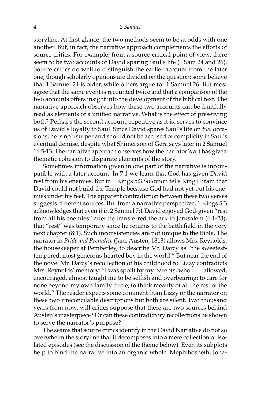storyline. At first glance, the two methods seem to be at odds with one another. But, in fact, the narrative approach complements the efforts of source critics. For example, from a source-critical point of view, there seem to be two accounts of David sparing Saul's life (1 Sam 24 and 26). Source critics do well to distinguish the earlier account from the later one, though scholarly opinions are divided on the question: some believe that 1 Samuel 24 is older, while others argue for 1 Samuel 26. But most agree that the same event is recounted twice and that a comparison of the two accounts offers insight into the development of the biblical text. The narrative approach observes how these two accounts can be fruitfully read as elements of a unified narrative. What is the effect of preserving both? Perhaps the second account, repetitive as it is, serves to convince us of David's loyalty to Saul. Since David spares Saul's life on *two* occasions, he is no usurper and should not be accused of complicity in Saul's eventual demise, despite what Shimei son of Gera says later in 2 Samuel 16:5-13. The narrative approach observes how the narrator's art has given thematic cohesion to disparate elements of the story.

Sometimes information given in one part of the narrative is incompatible with a later account. In 7:1 we learn that God has given David rest from his enemies. But in 1 Kings 5:3 Solomon tells King Hiram that David could not build the Temple because God had not yet put his enemies under his feet. The apparent contradiction between these two verses suggests different sources. But from a narrative perspective, 1 Kings 5:3 acknowledges that even if in 2 Samuel 7:1 David enjoyed God-given "rest from all his enemies" after he transferred the ark to Jerusalem (6:1-23), that "rest" was temporary since he returns to the battlefield in the very next chapter (8:1). Such inconsistencies are not unique to the Bible. The narrator in *Pride and Prejudice* (Jane Austen, 1813) allows Mrs. Reynolds, the housekeeper at Pemberley, to describe Mr. Darcy as "the sweetesttempered, most generous-hearted boy in the world." But near the end of the novel Mr. Darcy's recollection of his childhood to Lizzy contradicts Mrs. Reynolds' memory: "I was spoilt by my parents, who . . . allowed, encouraged, almost taught me to be selfish and overbearing; to care for none beyond my own family circle; to think meanly of all the rest of the world." The reader expects some comment from Lizzy or the narrator on these two irreconcilable descriptions but both are silent. Two thousand years from now, will critics suppose that there are two sources behind Austen's masterpiece? Or can these contradictory recollections be shown to serve the narrator's purpose?

The seams that source critics identify in the David Narrative do not so overwhelm the storyline that it decomposes into a mere collection of isolated episodes (see the discussion of the theme below). Even its subplots help to bind the narrative into an organic whole. Mephibosheth, Jona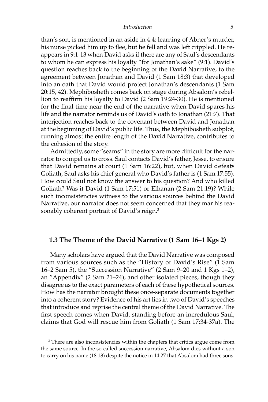than's son, is mentioned in an aside in 4:4: learning of Abner's murder, his nurse picked him up to flee, but he fell and was left crippled. He reappears in 9:1-13 when David asks if there are any of Saul's descendants to whom he can express his loyalty "for Jonathan's sake" (9:1). David's question reaches back to the beginning of the David Narrative, to the agreement between Jonathan and David (1 Sam 18:3) that developed into an oath that David would protect Jonathan's descendants (1 Sam 20:15, 42). Mephibosheth comes back on stage during Absalom's rebellion to reaffirm his loyalty to David (2 Sam 19:24-30). He is mentioned for the final time near the end of the narrative when David spares his life and the narrator reminds us of David's oath to Jonathan (21:7). That interjection reaches back to the covenant between David and Jonathan at the beginning of David's public life. Thus, the Mephibosheth subplot, running almost the entire length of the David Narrative, contributes to the cohesion of the story.

Admittedly, some "seams" in the story are more difficult for the narrator to compel us to cross. Saul contacts David's father, Jesse, to ensure that David remains at court (1 Sam 16:22), but, when David defeats Goliath, Saul asks his chief general who David's father is (1 Sam 17:55). How could Saul not know the answer to his question? And who killed Goliath? Was it David (1 Sam 17:51) or Elhanan (2 Sam 21:19)? While such inconsistencies witness to the various sources behind the David Narrative, our narrator does not seem concerned that they mar his reasonably coherent portrait of David's reign.<sup>3</sup>

# **1.3 The Theme of the David Narrative (1 Sam 16–1 Kgs 2)**

Many scholars have argued that the David Narrative was composed from various sources such as the "History of David's Rise" (1 Sam 16–2 Sam 5), the "Succession Narrative" (2 Sam 9–20 and 1 Kgs 1–2), an "Appendix" (2 Sam 21–24), and other isolated pieces, though they disagree as to the exact parameters of each of these hypothetical sources. How has the narrator brought these once-separate documents together into a coherent story? Evidence of his art lies in two of David's speeches that introduce and reprise the central theme of the David Narrative. The first speech comes when David, standing before an incredulous Saul, claims that God will rescue him from Goliath (1 Sam 17:34-37a). The

<sup>&</sup>lt;sup>3</sup> There are also inconsistencies within the chapters that critics argue come from the same source. In the so-called succession narrative, Absalom dies without a son to carry on his name (18:18) despite the notice in 14:27 that Absalom had three sons.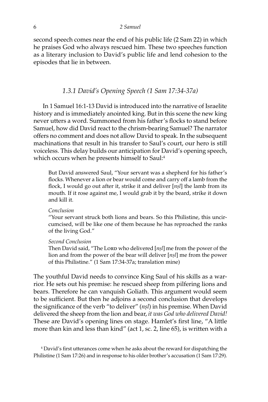second speech comes near the end of his public life (2 Sam 22) in which he praises God who always rescued him. These two speeches function as a literary inclusion to David's public life and lend cohesion to the episodes that lie in between.

# *1.3.1 David's Opening Speech (1 Sam 17:34-37a)*

In 1 Samuel 16:1-13 David is introduced into the narrative of Israelite history and is immediately anointed king. But in this scene the new king never utters a word. Summoned from his father's flocks to stand before Samuel, how did David react to the chrism-bearing Samuel? The narrator offers no comment and does not allow David to speak. In the subsequent machinations that result in his transfer to Saul's court, our hero is still voiceless. This delay builds our anticipation for David's opening speech, which occurs when he presents himself to Saul:<sup>4</sup>

But David answered Saul, "Your servant was a shepherd for his father's flocks. Whenever a lion or bear would come and carry off a lamb from the flock, I would go out after it, strike it and deliver [*nßl*] the lamb from its mouth. If it rose against me, I would grab it by the beard, strike it down and kill it.

#### *Conclusion*

"Your servant struck both lions and bears. So this Philistine, this uncircumcised, will be like one of them because he has reproached the ranks of the living God."

#### *Second Conclusion*

Then David said, "The Lorn who delivered [n*șl*] me from the power of the lion and from the power of the bear will deliver [*nßl*] me from the power of this Philistine." (1 Sam 17:34-37a; translation mine)

The youthful David needs to convince King Saul of his skills as a warrior. He sets out his premise: he rescued sheep from pilfering lions and bears. Therefore he can vanquish Goliath. This argument would seem to be sufficient. But then he adjoins a second conclusion that develops the significance of the verb "to deliver" (*nßl*) in his premise. When David delivered the sheep from the lion and bear, *it was God who delivered David!* These are David's opening lines on stage. Hamlet's first line, "A little more than kin and less than kind" (act 1, sc. 2, line 65), is written with a

4 David's first utterances come when he asks about the reward for dispatching the Philistine (1 Sam 17:26) and in response to his older brother's accusation (1 Sam 17:29).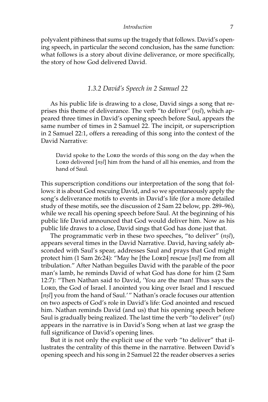polyvalent pithiness that sums up the tragedy that follows. David's opening speech, in particular the second conclusion, has the same function: what follows is a story about divine deliverance, or more specifically, the story of how God delivered David.

### *1.3.2 David's Speech in 2 Samuel 22*

As his public life is drawing to a close, David sings a song that reprises this theme of deliverance. The verb "to deliver" (*nßl*), which appeared three times in David's opening speech before Saul, appears the same number of times in 2 Samuel 22. The incipit, or superscription in 2 Samuel 22:1, offers a rereading of this song into the context of the David Narrative:

David spoke to the LORD the words of this song on the day when the LORD delivered [nsl] him from the hand of all his enemies, and from the hand of Saul.

This superscription conditions our interpretation of the song that follows: it is about God rescuing David, and so we spontaneously apply the song's deliverance motifs to events in David's life (for a more detailed study of these motifs, see the discussion of 2 Sam 22 below, pp. 289–96), while we recall his opening speech before Saul. At the beginning of his public life David announced that God would deliver him. Now as his public life draws to a close, David sings that God has done just that.

The programmatic verb in these two speeches, "to deliver" (*nßl*), appears several times in the David Narrative. David, having safely absconded with Saul's spear, addresses Saul and prays that God might protect him (1 Sam 26:24): "May he [the Lorp] rescue [*nsl*] me from all tribulation." After Nathan beguiles David with the parable of the poor man's lamb, he reminds David of what God has done for him (2 Sam 12:7): "Then Nathan said to David, 'You are the man! Thus says the Lord, the God of Israel. I anointed you king over Israel and I rescued [nșl] you from the hand of Saul.'" Nathan's oracle focuses our attention on two aspects of God's role in David's life: God anointed and rescued him. Nathan reminds David (and us) that his opening speech before Saul is gradually being realized. The last time the verb "to deliver" (*nßl*) appears in the narrative is in David's Song when at last we grasp the full significance of David's opening lines.

But it is not only the explicit use of the verb "to deliver" that illustrates the centrality of this theme in the narrative. Between David's opening speech and his song in 2 Samuel 22 the reader observes a series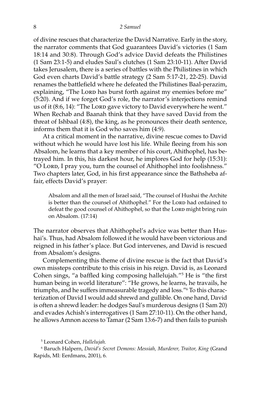of divine rescues that characterize the David Narrative. Early in the story, the narrator comments that God guarantees David's victories (1 Sam 18:14 and 30:8). Through God's advice David defeats the Philistines (1 Sam 23:1-5) and eludes Saul's clutches (1 Sam 23:10-11). After David takes Jerusalem, there is a series of battles with the Philistines in which God even charts David's battle strategy (2 Sam 5:17-21, 22-25). David renames the battlefield where he defeated the Philistines Baal-perazim, explaining, "The Lorp has burst forth against my enemies before me" (5:20). And if we forget God's role, the narrator's interjections remind us of it (8:6, 14): "The Lorp gave victory to David everywhere he went." When Rechab and Baanah think that they have saved David from the threat of Ishbaal (4:8), the king, as he pronounces their death sentence, informs them that it is God who saves him (4:9).

At a critical moment in the narrative, divine rescue comes to David without which he would have lost his life. While fleeing from his son Absalom, he learns that a key member of his court, Ahithophel, has betrayed him. In this, his darkest hour, he implores God for help (15:31): "O Lord, I pray you, turn the counsel of Ahithophel into foolishness." Two chapters later, God, in his first appearance since the Bathsheba affair, effects David's prayer:

Absalom and all the men of Israel said, "The counsel of Hushai the Archite is better than the counsel of Ahithophel." For the Lorp had ordained to defeat the good counsel of Ahithophel, so that the Lorp might bring ruin on Absalom. (17:14)

The narrator observes that Ahithophel's advice was better than Hushai's. Thus, had Absalom followed it he would have been victorious and reigned in his father's place. But God intervenes, and David is rescued from Absalom's designs.

Complementing this theme of divine rescue is the fact that David's own missteps contribute to this crisis in his reign. David is, as Leonard Cohen sings, "a baffled king composing hallelujah."5 He is "the first human being in world literature": "He grows, he learns, he travails, he triumphs, and he suffers immeasurable tragedy and loss."6 To this characterization of David I would add shrewd and gullible. On one hand, David is often a shrewd leader: he dodges Saul's murderous designs (1 Sam 20) and evades Achish's interrogatives (1 Sam 27:10-11). On the other hand, he allows Amnon access to Tamar (2 Sam 13:6-7) and then fails to punish

6 Baruch Halpern, *David's Secret Demons: Messiah, Murderer, Traitor, King* (Grand Rapids, MI: Eerdmans, 2001), 6.

<sup>5</sup> Leonard Cohen, *Hallelujah.*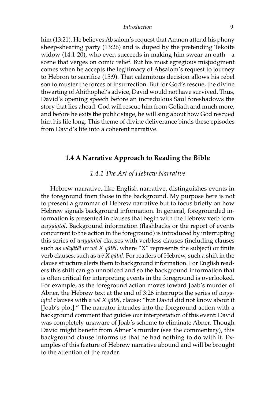him (13:21). He believes Absalom's request that Amnon attend his phony sheep-shearing party (13:26) and is duped by the pretending Tekoite widow (14:1-20), who even succeeds in making him swear an oath—a scene that verges on comic relief. But his most egregious misjudgment comes when he accepts the legitimacy of Absalom's request to journey to Hebron to sacrifice (15:9). That calamitous decision allows his rebel son to muster the forces of insurrection. But for God's rescue, the divine thwarting of Ahithophel's advice, David would not have survived. Thus, David's opening speech before an incredulous Saul foreshadows the story that lies ahead: God will rescue him from Goliath and much more, and before he exits the public stage, he will sing about how God rescued him his life long. This theme of divine deliverance binds these episodes from David's life into a coherent narrative.

# **1.4 A Narrative Approach to Reading the Bible**

# *1.4.1 The Art of Hebrew Narrative*

Hebrew narrative, like English narrative, distinguishes events in the foreground from those in the background. My purpose here is not to present a grammar of Hebrew narrative but to focus briefly on how Hebrew signals background information. In general, foregrounded information is presented in clauses that begin with the Hebrew verb form *wayyiqtol*. Background information (flashbacks or the report of events concurrent to the action in the foreground) is introduced by interrupting this series of *wayyiqtol* clauses with verbless clauses (including clauses such as *wéqåt∑l* or *wé X qåt∑l*, where "X" represents the subject) or finite verb clauses, such as *wé X qåtal*. For readers of Hebrew, such a shift in the clause structure alerts them to background information. For English readers this shift can go unnoticed and so the background information that is often critical for interpreting events in the foreground is overlooked. For example, as the foreground action moves toward Joab's murder of Abner, the Hebrew text at the end of 3:26 interrupts the series of *wayyiqtol* clauses with a *wé X qåt∑l*, clause: "but David did not know about it [Joab's plot]." The narrator intrudes into the foreground action with a background comment that guides our interpretation of this event: David was completely unaware of Joab's scheme to eliminate Abner. Though David might benefit from Abner's murder (see the commentary), this background clause informs us that he had nothing to do with it. Examples of this feature of Hebrew narrative abound and will be brought to the attention of the reader.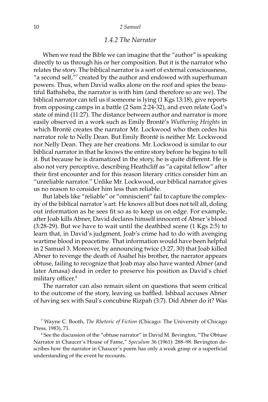# *1.4.2 The Narrator*

When we read the Bible we can imagine that the "author" is speaking directly to us through his or her composition. But it is the narrator who relates the story. The biblical narrator is a sort of external consciousness, "a second self,"<sup>7</sup> created by the author and endowed with superhuman powers. Thus, when David walks alone on the roof and spies the beautiful Bathsheba, the narrator is with him (and therefore so are we). The biblical narrator can tell us if someone is lying (1 Kgs 13:18), give reports from opposing camps in a battle (2 Sam 2:24-32), and even relate God's state of mind (11:27). The distance between author and narrator is more easily observed in a work such as Emily Brontë's *Wuthering Heights* in which Brontë creates the narrator Mr. Lockwood who then cedes his narrator role to Nelly Dean. But Emily Brontë is neither Mr. Lockwood nor Nelly Dean. They are her creations. Mr. Lockwood is similar to our biblical narrator in that he knows the entire story before he begins to tell it. But because he is dramatized in the story, he is quite different. He is also not very perceptive, describing Heathcliff as "a capital fellow" after their first encounter and for this reason literary critics consider him an "unreliable narrator." Unlike Mr. Lockwood, our biblical narrator gives us no reason to consider him less than reliable.

But labels like "reliable" or "omniscient" fail to capture the complexity of the biblical narrator's art. He knows all but does not tell all, doling out information as he sees fit so as to keep us on edge. For example, after Joab kills Abner, David declares himself innocent of Abner's blood (3:28-29). But we have to wait until the deathbed scene (1 Kgs 2:5) to learn that, in David's judgment, Joab's crime had to do with avenging wartime blood in peacetime. That information would have been helpful in 2 Samuel 3. Moreover, by announcing twice (3:27, 30) that Joab killed Abner to revenge the death of Asahel his brother, the narrator appears obtuse, failing to recognize that Joab may also have wanted Abner (and later Amasa) dead in order to preserve his position as David's chief military officer.<sup>8</sup>

The narrator can also remain silent on questions that seem critical to the outcome of the story, leaving us baffled. Ishbaal accuses Abner of having sex with Saul's concubine Rizpah (3:7). Did Abner do it? Was

<sup>7</sup> Wayne C. Booth, *The Rhetoric of Fiction* (Chicago: The University of Chicago Press, 1983), 71.

<sup>8</sup> See the discussion of the "obtuse narrator" in David M. Bevington, "The Obtuse Narrator in Chaucer's House of Fame," *Speculum* 36 (1961): 288–98. Bevington describes how the narrator in Chaucer's poem has only a weak grasp or a superficial understanding of the event he recounts.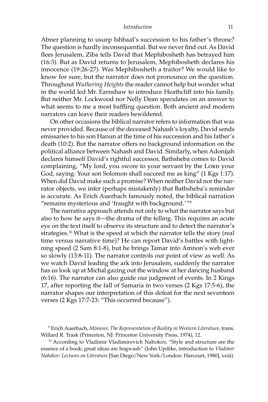#### *Introduction* 11

Abner planning to usurp Ishbaal's succession to his father's throne? The question is hardly inconsequential. But we never find out. As David flees Jerusalem, Ziba tells David that Mephibosheth has betrayed him (16:3). But as David returns to Jerusalem, Mephibosheth declares his innocence (19:26-27). Was Mephibosheth a traitor? We would like to know for sure, but the narrator does not pronounce on the question. Throughout *Wuthering Heights* the reader cannot help but wonder what in the world led Mr. Earnshaw to introduce Heathcliff into his family. But neither Mr. Lockwood nor Nelly Dean speculates on an answer to what seems to me a most baffling question. Both ancient and modern narrators can leave their readers bewildered.

On other occasions the biblical narrator refers to information that was never provided. Because of the deceased Nahash's loyalty, David sends emissaries to his son Hanun at the time of his succession and his father's death (10:2). But the narrator offers no background information on the political alliance between Nahash and David. Similarly, when Adonijah declares himself David's rightful successor, Bathsheba comes to David complaining, "My lord, you swore to your servant by the Lord your God, saying: Your son Solomon shall succeed me as king" (1 Kgs 1:17). When did David make such a promise? When neither David nor the narrator objects, we infer (perhaps mistakenly) that Bathsheba's reminder is accurate. As Erich Auerbach famously noted, the biblical narration "remains mysterious and 'fraught with background.' "9

The narrative approach attends not only to what the narrator says but also to how he says it—the drama of the telling. This requires an acute eye on the text itself to observe its structure and to detect the narrator's strategies.<sup>10</sup> What is the speed at which the narrator tells the story (real time versus narrative time)? He can report David's battles with lightning speed (2 Sam 8:1-8), but he brings Tamar into Amnon's web ever so slowly (13:8-11). The narrator controls our point of view as well. As we watch David leading the ark into Jerusalem, suddenly the narrator has us look up at Michal gazing out the window at her dancing husband (6:16). The narrator can also guide our judgment of events. In 2 Kings 17, after reporting the fall of Samaria in two verses (2 Kgs 17:5-6), the narrator shapes our interpretation of this defeat for the next seventeen verses (2 Kgs 17:7-23: "This occurred because").

<sup>9</sup> Erich Auerbach, *Mimesis: The Representation of Reality in Western Literature*, trans. Willard R. Trask (Princeton, NJ: Princeton University Press, 1974), 12.

<sup>&</sup>lt;sup>10</sup> According to Vladimir Vladimirovich Nabokov, "Style and structure are the essence of a book; great ideas are hogwash" (John Updike, introduction to *Vladimir Nabokov: Lectures on Literature* [San Diego/New York/London: Harcourt, 1980], xxiii).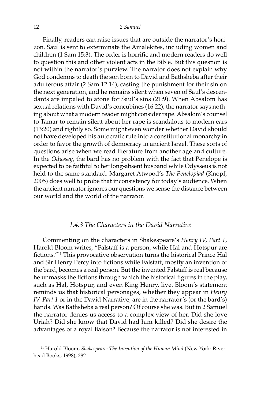Finally, readers can raise issues that are outside the narrator's horizon. Saul is sent to exterminate the Amalekites, including women and children (1 Sam 15:3). The order is horrific and modern readers do well to question this and other violent acts in the Bible. But this question is not within the narrator's purview. The narrator does not explain why God condemns to death the son born to David and Bathsheba after their adulterous affair (2 Sam 12:14), casting the punishment for their sin on the next generation, and he remains silent when seven of Saul's descendants are impaled to atone for Saul's sins (21:9). When Absalom has sexual relations with David's concubines (16:22), the narrator says nothing about what a modern reader might consider rape. Absalom's counsel to Tamar to remain silent about her rape is scandalous to modern ears (13:20) and rightly so. Some might even wonder whether David should not have developed his autocratic rule into a constitutional monarchy in order to favor the growth of democracy in ancient Israel. These sorts of questions arise when we read literature from another age and culture. In the *Odyssey*, the bard has no problem with the fact that Penelope is expected to be faithful to her long-absent husband while Odysseus is not held to the same standard. Margaret Atwood's *The Penelopiad* (Knopf, 2005) does well to probe that inconsistency for today's audience. When the ancient narrator ignores our questions we sense the distance between our world and the world of the narrator.

# *1.4.3 The Characters in the David Narrative*

Commenting on the characters in Shakespeare's *Henry IV, Part 1*, Harold Bloom writes, "Falstaff is a person, while Hal and Hotspur are fictions."11 This provocative observation turns the historical Prince Hal and Sir Henry Percy into fictions while Falstaff, mostly an invention of the bard, becomes a real person. But the invented Falstaff is real because he unmasks the fictions through which the historical figures in the play, such as Hal, Hotspur, and even King Henry, live. Bloom's statement reminds us that historical personages, whether they appear in *Henry IV, Part 1* or in the David Narrative, are in the narrator's (or the bard's) hands. Was Bathsheba a real person? Of course she was. But in 2 Samuel the narrator denies us access to a complex view of her. Did she love Uriah? Did she know that David had him killed? Did she desire the advantages of a royal liaison? Because the narrator is not interested in

<sup>11</sup> Harold Bloom, *Shakespeare: The Invention of the Human Mind* (New York: Riverhead Books, 1998), 282.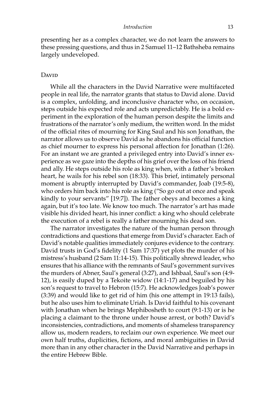presenting her as a complex character, we do not learn the answers to these pressing questions, and thus in 2 Samuel 11–12 Bathsheba remains largely undeveloped.

#### D<sub>AVID</sub>

While all the characters in the David Narrative were multifaceted people in real life, the narrator grants that status to David alone. David is a complex, unfolding, and inconclusive character who, on occasion, steps outside his expected role and acts unpredictably. He is a bold experiment in the exploration of the human person despite the limits and frustrations of the narrator's only medium, the written word. In the midst of the official rites of mourning for King Saul and his son Jonathan, the narrator allows us to observe David as he abandons his official function as chief mourner to express his personal affection for Jonathan (1:26). For an instant we are granted a privileged entry into David's inner experience as we gaze into the depths of his grief over the loss of his friend and ally. He steps outside his role as king when, with a father's broken heart, he wails for his rebel son (18:33). This brief, intimately personal moment is abruptly interrupted by David's commander, Joab (19:5-8), who orders him back into his role as king ("So go out at once and speak kindly to your servants" [19:7]). The father obeys and becomes a king again, but it's too late. We know too much. The narrator's art has made visible his divided heart, his inner conflict: a king who should celebrate the execution of a rebel is really a father mourning his dead son.

The narrator investigates the nature of the human person through contradictions and questions that emerge from David's character. Each of David's notable qualities immediately conjures evidence to the contrary. David trusts in God's fidelity (1 Sam 17:37) yet plots the murder of his mistress's husband (2 Sam 11:14-15). This politically shrewd leader, who ensures that his alliance with the remnants of Saul's government survives the murders of Abner, Saul's general (3:27), and Ishbaal, Saul's son (4:9- 12), is easily duped by a Tekoite widow (14:1-17) and beguiled by his son's request to travel to Hebron (15:7). He acknowledges Joab's power (3:39) and would like to get rid of him (his one attempt in 19:13 fails), but he also uses him to eliminate Uriah. Is David faithful to his covenant with Jonathan when he brings Mephibosheth to court (9:1-13) or is he placing a claimant to the throne under house arrest, or both? David's inconsistencies, contradictions, and moments of shameless transparency allow us, modern readers, to reclaim our own experience. We meet our own half truths, duplicities, fictions, and moral ambiguities in David more than in any other character in the David Narrative and perhaps in the entire Hebrew Bible.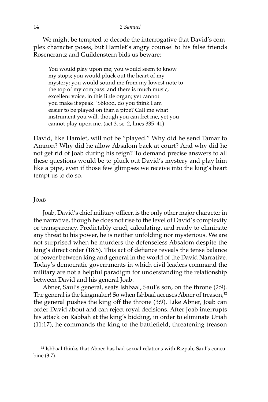#### 14 *2 Samuel*

We might be tempted to decode the interrogative that David's complex character poses, but Hamlet's angry counsel to his false friends Rosencrantz and Guildenstern bids us beware:

You would play upon me; you would seem to know my stops; you would pluck out the heart of my mystery; you would sound me from my lowest note to the top of my compass: and there is much music, excellent voice, in this little organ; yet cannot you make it speak. 'Sblood, do you think I am easier to be played on than a pipe? Call me what instrument you will, though you can fret me, yet you cannot play upon me. (act 3, sc. 2, lines 335–41)

David, like Hamlet, will not be "played." Why did he send Tamar to Amnon? Why did he allow Absalom back at court? And why did he not get rid of Joab during his reign? To demand precise answers to all these questions would be to pluck out David's mystery and play him like a pipe, even if those few glimpses we receive into the king's heart tempt us to do so.

#### Joab

Joab, David's chief military officer, is the only other major character in the narrative, though he does not rise to the level of David's complexity or transparency. Predictably cruel, calculating, and ready to eliminate any threat to his power, he is neither unfolding nor mysterious. We are not surprised when he murders the defenseless Absalom despite the king's direct order (18:5). This act of defiance reveals the tense balance of power between king and general in the world of the David Narrative. Today's democratic governments in which civil leaders command the military are not a helpful paradigm for understanding the relationship between David and his general Joab.

Abner, Saul's general, seats Ishbaal, Saul's son, on the throne (2:9). The general is the kingmaker! So when Ishbaal accuses Abner of treason,<sup>12</sup> the general pushes the king off the throne (3:9). Like Abner, Joab can order David about and can reject royal decisions. After Joab interrupts his attack on Rabbah at the king's bidding, in order to eliminate Uriah (11:17), he commands the king to the battlefield, threatening treason

 $12$  Ishbaal thinks that Abner has had sexual relations with Rizpah, Saul's concubine (3:7).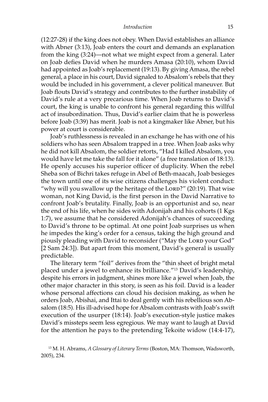(12:27-28) if the king does not obey. When David establishes an alliance with Abner (3:13), Joab enters the court and demands an explanation from the king (3:24)—not what we might expect from a general. Later on Joab defies David when he murders Amasa (20:10), whom David had appointed as Joab's replacement (19:13). By giving Amasa, the rebel general, a place in his court, David signaled to Absalom's rebels that they would be included in his government, a clever political maneuver. But Joab flouts David's strategy and contributes to the further instability of David's rule at a very precarious time. When Joab returns to David's court, the king is unable to confront his general regarding this willful act of insubordination. Thus, David's earlier claim that he is powerless before Joab (3:39) has merit. Joab is not a kingmaker like Abner, but his power at court is considerable.

Joab's ruthlessness is revealed in an exchange he has with one of his soldiers who has seen Absalom trapped in a tree. When Joab asks why he did not kill Absalom, the soldier retorts, "Had I killed Absalom, you would have let me take the fall for it alone" (a free translation of 18:13). He openly accuses his superior officer of duplicity. When the rebel Sheba son of Bichri takes refuge in Abel of Beth-maacah, Joab besieges the town until one of its wise citizens challenges his violent conduct: "why will you swallow up the heritage of the Lorp?" (20:19). That wise woman, not King David, is the first person in the David Narrative to confront Joab's brutality. Finally, Joab is an opportunist and so, near the end of his life, when he sides with Adonijah and his cohorts (1 Kgs 1:7), we assume that he considered Adonijah's chances of succeeding to David's throne to be optimal. At one point Joab surprises us when he impedes the king's order for a census, taking the high ground and piously pleading with David to reconsider ("May the Lorp your God" [2 Sam 24:3]). But apart from this moment, David's general is usually predictable.

The literary term "foil" derives from the "thin sheet of bright metal placed under a jewel to enhance its brilliance."13 David's leadership, despite his errors in judgment, shines more like a jewel when Joab, the other major character in this story, is seen as his foil. David is a leader whose personal affections can cloud his decision making, as when he orders Joab, Abishai, and Ittai to deal gently with his rebellious son Absalom (18:5). His ill-advised hope for Absalom contrasts with Joab's swift execution of the usurper (18:14). Joab's execution-style justice makes David's missteps seem less egregious. We may want to laugh at David for the attention he pays to the pretending Tekoite widow (14:4-17),

<sup>13</sup> M. H. Abrams, *A Glossary of Literary Terms* (Boston, MA: Thomson, Wadsworth, 2005), 234.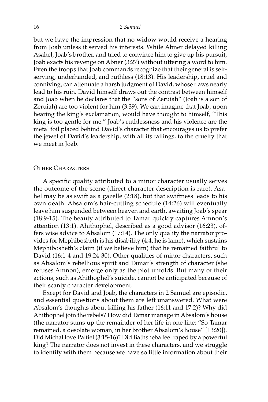but we have the impression that no widow would receive a hearing from Joab unless it served his interests. While Abner delayed killing Asahel, Joab's brother, and tried to convince him to give up his pursuit, Joab exacts his revenge on Abner (3:27) without uttering a word to him. Even the troops that Joab commands recognize that their general is selfserving, underhanded, and ruthless (18:13). His leadership, cruel and conniving, can attenuate a harsh judgment of David, whose flaws nearly lead to his ruin. David himself draws out the contrast between himself and Joab when he declares that the "sons of Zeruiah" (Joab is a son of Zeruiah) are too violent for him (3:39). We can imagine that Joab, upon hearing the king's exclamation, would have thought to himself, "This king is too gentle for me." Joab's ruthlessness and his violence are the metal foil placed behind David's character that encourages us to prefer the jewel of David's leadership, with all its failings, to the cruelty that we meet in Joab.

#### Other Characters

A specific quality attributed to a minor character usually serves the outcome of the scene (direct character description is rare). Asahel may be as swift as a gazelle (2:18), but that swiftness leads to his own death. Absalom's hair-cutting schedule (14:26) will eventually leave him suspended between heaven and earth, awaiting Joab's spear (18:9-15). The beauty attributed to Tamar quickly captures Amnon's attention (13:1). Ahithophel, described as a good advisor (16:23), offers wise advice to Absalom (17:14). The only quality the narrator provides for Mephibosheth is his disability (4:4, he is lame), which sustains Mephibosheth's claim (if we believe him) that he remained faithful to David (16:1-4 and 19:24-30). Other qualities of minor characters, such as Absalom's rebellious spirit and Tamar's strength of character (she refuses Amnon), emerge only as the plot unfolds. But many of their actions, such as Ahithophel's suicide, cannot be anticipated because of their scanty character development.

Except for David and Joab, the characters in 2 Samuel are episodic, and essential questions about them are left unanswered. What were Absalom's thoughts about killing his father (16:11 and 17:2)? Why did Ahithophel join the rebels? How did Tamar manage in Absalom's house (the narrator sums up the remainder of her life in one line: "So Tamar remained, a desolate woman, in her brother Absalom's house" [13:20]). Did Michal love Paltiel (3:15-16)? Did Bathsheba feel raped by a powerful king? The narrator does not invest in these characters, and we struggle to identify with them because we have so little information about their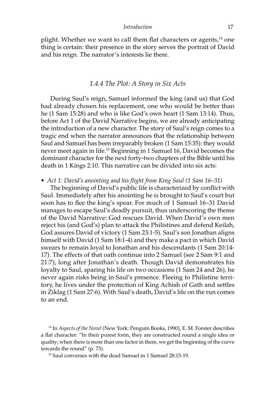plight. Whether we want to call them flat characters or agents,<sup>14</sup> one thing is certain: their presence in the story serves the portrait of David and his reign. The narrator's interests lie there.

### *1.4.4 The Plot: A Story in Six Acts*

During Saul's reign, Samuel informed the king (and us) that God had already chosen his replacement, one who would be better than he (1 Sam 15:28) and who is like God's own heart (1 Sam 13:14). Thus, before Act 1 of the David Narrative begins, we are already anticipating the introduction of a new character. The story of Saul's reign comes to a tragic end when the narrator announces that the relationship between Saul and Samuel has been irreparably broken (1 Sam 15:35): they would never meet again in life.15 Beginning in 1 Samuel 16, David becomes the dominant character for the next forty-two chapters of the Bible until his death in 1 Kings 2:10. This narrative can be divided into six acts:

#### *• Act 1: David's anointing and his flight from King Saul (1 Sam 16–31)*

The beginning of David's public life is characterized by conflict with Saul. Immediately after his anointing he is brought to Saul's court but soon has to flee the king's spear. For much of 1 Samuel 16–31 David manages to escape Saul's deadly pursuit, thus underscoring the theme of the David Narrative: God rescues David. When David's own men reject his (and God's) plan to attack the Philistines and defend Keilah, God assures David of victory (1 Sam 23:1-5). Saul's son Jonathan aligns himself with David (1 Sam 18:1-4) and they make a pact in which David swears to remain loyal to Jonathan and his descendants (1 Sam 20:14- 17). The effects of that oath continue into 2 Samuel (see 2 Sam 9:1 and 21:7), long after Jonathan's death. Though David demonstrates his loyalty to Saul, sparing his life on two occasions (1 Sam 24 and 26), he never again risks being in Saul's presence. Fleeing to Philistine territory, he lives under the protection of King Achish of Gath and settles in Ziklag (1 Sam 27:6). With Saul's death, David's life on the run comes to an end.

14 In *Aspects of the Novel* (New York: Penguin Books, 1990), E. M. Forster describes a flat character: "In their purest form, they are constructed round a single idea or quality; when there is more than one factor in them, we get the beginning of the curve towards the round" (p. 73).

15 Saul converses with the dead Samuel in 1 Samuel 28:15-19.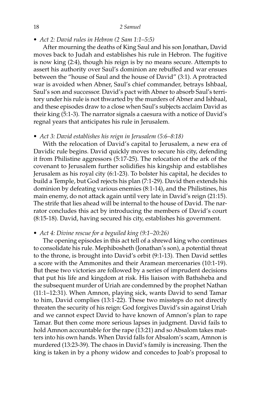*• Act 2: David rules in Hebron (2 Sam 1:1–5:5)*

After mourning the deaths of King Saul and his son Jonathan, David moves back to Judah and establishes his rule in Hebron. The fugitive is now king (2:4), though his reign is by no means secure. Attempts to assert his authority over Saul's dominion are rebuffed and war ensues between the "house of Saul and the house of David" (3:1). A protracted war is avoided when Abner, Saul's chief commander, betrays Ishbaal, Saul's son and successor. David's pact with Abner to absorb Saul's territory under his rule is not thwarted by the murders of Abner and Ishbaal, and these episodes draw to a close when Saul's subjects acclaim David as their king (5:1-3). The narrator signals a caesura with a notice of David's regnal years that anticipates his rule in Jerusalem.

*• Act 3: David establishes his reign in Jerusalem (5:6–8:18)*

With the relocation of David's capital to Jerusalem, a new era of Davidic rule begins. David quickly moves to secure his city, defending it from Philistine aggressors (5:17-25). The relocation of the ark of the covenant to Jerusalem further solidifies his kingship and establishes Jerusalem as his royal city (6:1-23). To bolster his capital, he decides to build a Temple, but God rejects his plan (7:1-29). David then extends his dominion by defeating various enemies (8:1-14), and the Philistines, his main enemy, do not attack again until very late in David's reign (21:15). The strife that lies ahead will be internal to the house of David. The narrator concludes this act by introducing the members of David's court (8:15-18). David, having secured his city, establishes his government.

*• Act 4: Divine rescue for a beguiled king (9:1–20:26)*

The opening episodes in this act tell of a shrewd king who continues to consolidate his rule. Mephibosheth (Jonathan's son), a potential threat to the throne, is brought into David's orbit (9:1-13). Then David settles a score with the Ammonites and their Aramean mercenaries (10:1-19). But these two victories are followed by a series of imprudent decisions that put his life and kingdom at risk. His liaison with Bathsheba and the subsequent murder of Uriah are condemned by the prophet Nathan (11:1–12:31). When Amnon, playing sick, wants David to send Tamar to him, David complies (13:1-22). These two missteps do not directly threaten the security of his reign: God forgives David's sin against Uriah and we cannot expect David to have known of Amnon's plan to rape Tamar. But then come more serious lapses in judgment. David fails to hold Amnon accountable for the rape (13:21) and so Absalom takes matters into his own hands. When David falls for Absalom's scam, Amnon is murdered (13:23-39). The chaos in David's family is increasing. Then the king is taken in by a phony widow and concedes to Joab's proposal to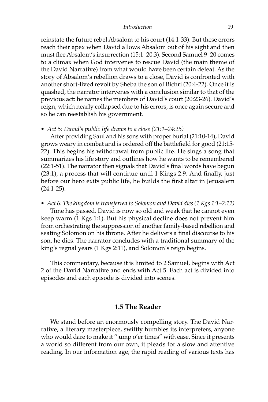reinstate the future rebel Absalom to his court (14:1-33). But these errors reach their apex when David allows Absalom out of his sight and then must flee Absalom's insurrection (15:1–20:3). Second Samuel 9–20 comes to a climax when God intervenes to rescue David (the main theme of the David Narrative) from what would have been certain defeat. As the story of Absalom's rebellion draws to a close, David is confronted with another short-lived revolt by Sheba the son of Bichri (20:4-22). Once it is quashed, the narrator intervenes with a conclusion similar to that of the previous act: he names the members of David's court (20:23-26). David's reign, which nearly collapsed due to his errors, is once again secure and so he can reestablish his government.

#### *• Act 5: David's public life draws to a close (21:1–24:25)*

After providing Saul and his sons with proper burial (21:10-14), David grows weary in combat and is ordered off the battlefield for good (21:15- 22). This begins his withdrawal from public life. He sings a song that summarizes his life story and outlines how he wants to be remembered (22:1-51). The narrator then signals that David's final words have begun (23:1), a process that will continue until 1 Kings 2:9. And finally, just before our hero exits public life, he builds the first altar in Jerusalem (24:1-25).

*• Act 6: The kingdom is transferred to Solomon and David dies (1 Kgs 1:1–2:12)* Time has passed. David is now so old and weak that he cannot even keep warm (1 Kgs 1:1). But his physical decline does not prevent him from orchestrating the suppression of another family-based rebellion and seating Solomon on his throne. After he delivers a final discourse to his son, he dies. The narrator concludes with a traditional summary of the king's regnal years (1 Kgs 2:11), and Solomon's reign begins.

This commentary, because it is limited to 2 Samuel, begins with Act 2 of the David Narrative and ends with Act 5. Each act is divided into episodes and each episode is divided into scenes.

## **1.5 The Reader**

We stand before an enormously compelling story. The David Narrative, a literary masterpiece, swiftly humbles its interpreters, anyone who would dare to make it "jump o'er times" with ease. Since it presents a world so different from our own, it pleads for a slow and attentive reading. In our information age, the rapid reading of various texts has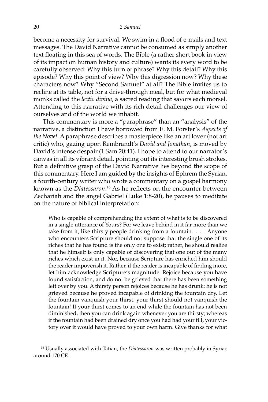become a necessity for survival. We swim in a flood of e-mails and text messages. The David Narrative cannot be consumed as simply another text floating in this sea of words. The Bible (a rather short book in view of its impact on human history and culture) wants its every word to be carefully observed: Why this turn of phrase? Why this detail? Why this episode? Why this point of view? Why this digression now? Why these characters now? Why "Second Samuel" at all? The Bible invites us to recline at its table, not for a drive-through meal, but for what medieval monks called the *lectio divina*, a sacred reading that savors each morsel. Attending to this narrative with its rich detail challenges our view of ourselves and of the world we inhabit.

This commentary is more a "paraphrase" than an "analysis" of the narrative, a distinction I have borrowed from E. M. Forster's *Aspects of the Novel*. A paraphrase describes a masterpiece like an art lover (not art critic) who, gazing upon Rembrandt's *David and Jonathan*, is moved by David's intense despair (1 Sam 20:41). I hope to attend to our narrator's canvas in all its vibrant detail, pointing out its interesting brush strokes. But a definitive grasp of the David Narrative lies beyond the scope of this commentary. Here I am guided by the insights of Ephrem the Syrian, a fourth-century writer who wrote a commentary on a gospel harmony known as the *Diatessaron*. <sup>16</sup> As he reflects on the encounter between Zechariah and the angel Gabriel (Luke 1:8-20), he pauses to meditate on the nature of biblical interpretation:

Who is capable of comprehending the extent of what is to be discovered in a single utterance of Yours? For we leave behind in it far more than we take from it, like thirsty people drinking from a fountain. . . . Anyone who encounters Scripture should not suppose that the single one of its riches that he has found is the only one to exist; rather, he should realize that he himself is only capable of discovering that one out of the many riches which exist in it. Nor, because Scripture has enriched him should the reader impoverish it. Rather, if the reader is incapable of finding more, let him acknowledge Scripture's magnitude. Rejoice because you have found satisfaction, and do not be grieved that there has been something left over by you. A thirsty person rejoices because he has drunk: he is not grieved because he proved incapable of drinking the fountain dry. Let the fountain vanquish your thirst, your thirst should not vanquish the fountain! If your thirst comes to an end while the fountain has not been diminished, then you can drink again whenever you are thirsty; whereas if the fountain had been drained dry once you had had your fill, your victory over it would have proved to your own harm. Give thanks for what

<sup>16</sup> Usually associated with Tatian, the *Diatessaron* was written probably in Syriac around 170 CE.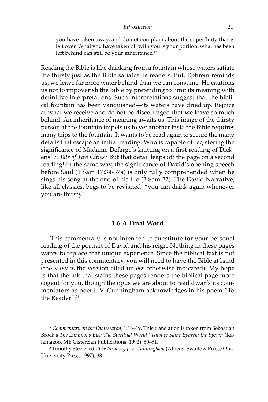you have taken away, and do not complain about the superfluity that is left over. What you have taken off with you is your portion, what has been left behind can still be your inheritance.<sup>17</sup>

Reading the Bible is like drinking from a fountain whose waters satiate the thirsty just as the Bible satiates its readers. But, Ephrem reminds us, we leave far more water behind than we can consume. He cautions us not to impoverish the Bible by pretending to limit its meaning with definitive interpretations. Such interpretations suggest that the biblical fountain has been vanquished—its waters have dried up. Rejoice at what we receive and do not be discouraged that we leave so much behind. An inheritance of meaning awaits us. This image of the thirsty person at the fountain impels us to yet another task: the Bible requires many trips to the fountain. It wants to be read again to secure the many details that escape an initial reading. Who is capable of registering the significance of Madame Defarge's knitting on a first reading of Dickens' *A Tale of Two Cities*? But that detail leaps off the page on a second reading! In the same way, the significance of David's opening speech before Saul (1 Sam 17:34-37a) is only fully comprehended when he sings his song at the end of his life (2 Sam 22). The David Narrative, like all classics, begs to be revisited: "you can drink again whenever you are thirsty."

# **1.6 A Final Word**

This commentary is not intended to substitute for your personal reading of the portrait of David and his reign. Nothing in these pages wants to replace that unique experience. Since the biblical text is not presented in this commentary, you will need to have the Bible at hand (the nrsv is the version cited unless otherwise indicated). My hope is that the ink that stains these pages renders the biblical page more cogent for you, though the opus we are about to read dwarfs its commentators as poet J. V. Cunningham acknowledges in his poem "To the Reader":18

<sup>17</sup> *Commentary on the Diatessaron*, 1:18–19. This translation is taken from Sebastian Brock's The Luminous Eye: The Spiritual World Vision of Saint Ephrem the Syrian (Kalamazoo, MI: Cistercian Publications, 1992), 50–51. 18 Timothy Steele, ed., *The Poems of J. V. Cunningham* (Athens: Swallow Press/Ohio

University Press, 1997), 38.